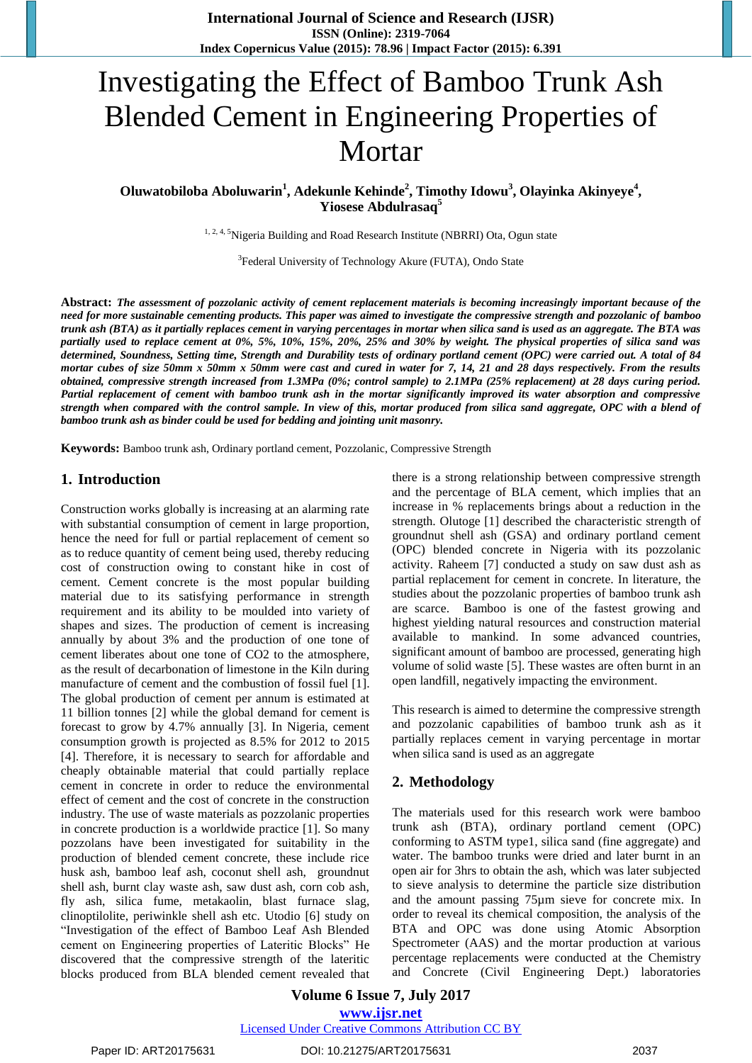# Investigating the Effect of Bamboo Trunk Ash Blended Cement in Engineering Properties of Mortar

**Oluwatobiloba Aboluwarin<sup>1</sup> , Adekunle Kehinde 2 , Timothy Idowu<sup>3</sup> , Olayinka Akinyeye 4 , Yiosese Abdulrasaq<sup>5</sup>**

<sup>1, 2, 4, 5</sup>Nigeria Building and Road Research Institute (NBRRI) Ota, Ogun state

<sup>3</sup>Federal University of Technology Akure (FUTA), Ondo State

**Abstract:** *The assessment of pozzolanic activity of cement replacement materials is becoming increasingly important because of the need for more sustainable cementing products. This paper was aimed to investigate the compressive strength and pozzolanic of bamboo trunk ash (BTA) as it partially replaces cement in varying percentages in mortar when silica sand is used as an aggregate. The BTA was partially used to replace cement at 0%, 5%, 10%, 15%, 20%, 25% and 30% by weight. The physical properties of silica sand was determined, Soundness, Setting time, Strength and Durability tests of ordinary portland cement (OPC) were carried out. A total of 84 mortar cubes of size 50mm x 50mm x 50mm were cast and cured in water for 7, 14, 21 and 28 days respectively. From the results obtained, compressive strength increased from 1.3MPa (0%; control sample) to 2.1MPa (25% replacement) at 28 days curing period. Partial replacement of cement with bamboo trunk ash in the mortar significantly improved its water absorption and compressive strength when compared with the control sample. In view of this, mortar produced from silica sand aggregate, OPC with a blend of bamboo trunk ash as binder could be used for bedding and jointing unit masonry.*

**Keywords:** Bamboo trunk ash, Ordinary portland cement, Pozzolanic, Compressive Strength

#### **1. Introduction**

Construction works globally is increasing at an alarming rate with substantial consumption of cement in large proportion, hence the need for full or partial replacement of cement so as to reduce quantity of cement being used, thereby reducing cost of construction owing to constant hike in cost of cement. Cement concrete is the most popular building material due to its satisfying performance in strength requirement and its ability to be moulded into variety of shapes and sizes. The production of cement is increasing annually by about 3% and the production of one tone of cement liberates about one tone of CO2 to the atmosphere, as the result of decarbonation of limestone in the Kiln during manufacture of cement and the combustion of fossil fuel [1]. The global production of cement per annum is estimated at 11 billion tonnes [2] while the global demand for cement is forecast to grow by 4.7% annually [3]. In Nigeria, cement consumption growth is projected as 8.5% for 2012 to 2015 [4]. Therefore, it is necessary to search for affordable and cheaply obtainable material that could partially replace cement in concrete in order to reduce the environmental effect of cement and the cost of concrete in the construction industry. The use of waste materials as pozzolanic properties in concrete production is a worldwide practice [1]. So many pozzolans have been investigated for suitability in the production of blended cement concrete, these include rice husk ash, bamboo leaf ash, coconut shell ash, groundnut shell ash, burnt clay waste ash, saw dust ash, corn cob ash, fly ash, silica fume, metakaolin, blast furnace slag, clinoptilolite, periwinkle shell ash etc. Utodio [6] study on "Investigation of the effect of Bamboo Leaf Ash Blended cement on Engineering properties of Lateritic Blocks" He discovered that the compressive strength of the lateritic blocks produced from BLA blended cement revealed that there is a strong relationship between compressive strength and the percentage of BLA cement, which implies that an increase in % replacements brings about a reduction in the strength. Olutoge [1] described the characteristic strength of groundnut shell ash (GSA) and ordinary portland cement (OPC) blended concrete in Nigeria with its pozzolanic activity. Raheem [7] conducted a study on saw dust ash as partial replacement for cement in concrete. In literature, the studies about the pozzolanic properties of bamboo trunk ash are scarce. Bamboo is one of the fastest growing and highest yielding natural resources and construction material available to mankind. In some advanced countries, significant amount of bamboo are processed, generating high volume of solid waste [5]. These wastes are often burnt in an open landfill, negatively impacting the environment.

This research is aimed to determine the compressive strength and pozzolanic capabilities of bamboo trunk ash as it partially replaces cement in varying percentage in mortar when silica sand is used as an aggregate

## **2. Methodology**

The materials used for this research work were bamboo trunk ash (BTA), ordinary portland cement (OPC) conforming to ASTM type1, silica sand (fine aggregate) and water. The bamboo trunks were dried and later burnt in an open air for 3hrs to obtain the ash, which was later subjected to sieve analysis to determine the particle size distribution and the amount passing 75µm sieve for concrete mix. In order to reveal its chemical composition, the analysis of the BTA and OPC was done using Atomic Absorption Spectrometer (AAS) and the mortar production at various percentage replacements were conducted at the Chemistry and Concrete (Civil Engineering Dept.) laboratories

**Volume 6 Issue 7, July 2017 www.ijsr.net** Licensed Under Creative Commons Attribution CC BY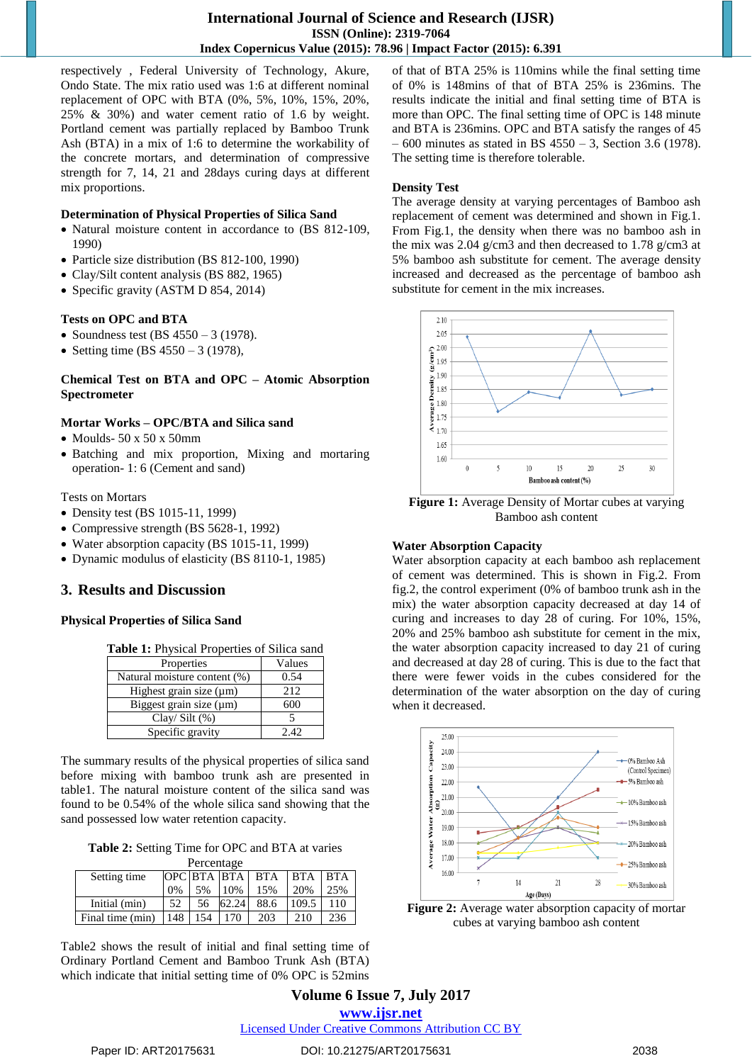respectively , Federal University of Technology, Akure, Ondo State. The mix ratio used was 1:6 at different nominal replacement of OPC with BTA (0%, 5%, 10%, 15%, 20%, 25% & 30%) and water cement ratio of 1.6 by weight. Portland cement was partially replaced by Bamboo Trunk Ash (BTA) in a mix of 1:6 to determine the workability of the concrete mortars, and determination of compressive strength for 7, 14, 21 and 28days curing days at different mix proportions.

#### **Determination of Physical Properties of Silica Sand**

- Natural moisture content in accordance to (BS 812-109, 1990)
- Particle size distribution (BS 812-100, 1990)
- Clay/Silt content analysis (BS 882, 1965)
- Specific gravity (ASTM D 854, 2014)

#### **Tests on OPC and BTA**

- Soundness test (BS  $4550 3$  (1978).
- Setting time (BS  $4550 3$  (1978),

#### **Chemical Test on BTA and OPC – Atomic Absorption Spectrometer**

#### **Mortar Works – OPC/BTA and Silica sand**

- $\bullet$  Moulds- 50 x 50 x 50mm
- Batching and mix proportion, Mixing and mortaring operation- 1: 6 (Cement and sand)

Tests on Mortars

- Density test (BS 1015-11, 1999)
- Compressive strength (BS 5628-1, 1992)
- Water absorption capacity (BS 1015-11, 1999)
- Dynamic modulus of elasticity (BS 8110-1, 1985)

## **3. Results and Discussion**

#### **Physical Properties of Silica Sand**

|  |  | Table 1: Physical Properties of Silica sand |  |  |  |  |  |
|--|--|---------------------------------------------|--|--|--|--|--|
|--|--|---------------------------------------------|--|--|--|--|--|

| Properties                   | Values |  |  |
|------------------------------|--------|--|--|
| Natural moisture content (%) | 0.54   |  |  |
| Highest grain size (µm)      | 2.12   |  |  |
| Biggest grain size (µm)      | 600    |  |  |
| Clay/ $Silt$ (%)             |        |  |  |
| Specific gravity             | 2.42   |  |  |

The summary results of the physical properties of silica sand before mixing with bamboo trunk ash are presented in table1. The natural moisture content of the silica sand was found to be 0.54% of the whole silica sand showing that the sand possessed low water retention capacity.

**Table 2:** Setting Time for OPC and BTA at varies  $\mathbf{D}_c$ 

| I CILCINARE      |     |     |                         |      |         |     |  |  |  |  |  |
|------------------|-----|-----|-------------------------|------|---------|-----|--|--|--|--|--|
| Setting time     |     |     | $OPC$ $BTA$ $BTA$ $BTA$ |      | BTA BTA |     |  |  |  |  |  |
|                  | 0%  | 5%  | 10%                     | 15%  | 20%     | 25% |  |  |  |  |  |
| Initial (min)    | 52  | 56  | 62.24                   | 88.6 | 109.5   | 110 |  |  |  |  |  |
| Final time (min) | 148 | 154 | 170                     | 203  | 210     | 236 |  |  |  |  |  |

Table2 shows the result of initial and final setting time of Ordinary Portland Cement and Bamboo Trunk Ash (BTA) which indicate that initial setting time of 0% OPC is 52mins of that of BTA 25% is 110mins while the final setting time of 0% is 148mins of that of BTA 25% is 236mins. The results indicate the initial and final setting time of BTA is more than OPC. The final setting time of OPC is 148 minute and BTA is 236mins. OPC and BTA satisfy the ranges of 45  $-600$  minutes as stated in BS 4550 – 3, Section 3.6 (1978). The setting time is therefore tolerable.

#### **Density Test**

The average density at varying percentages of Bamboo ash replacement of cement was determined and shown in Fig.1. From Fig.1, the density when there was no bamboo ash in the mix was 2.04 g/cm3 and then decreased to 1.78 g/cm3 at 5% bamboo ash substitute for cement. The average density increased and decreased as the percentage of bamboo ash substitute for cement in the mix increases.



**Figure 1:** Average Density of Mortar cubes at varying Bamboo ash content

#### **Water Absorption Capacity**

Water absorption capacity at each bamboo ash replacement of cement was determined. This is shown in Fig.2. From fig.2, the control experiment (0% of bamboo trunk ash in the mix) the water absorption capacity decreased at day 14 of curing and increases to day 28 of curing. For 10%, 15%, 20% and 25% bamboo ash substitute for cement in the mix, the water absorption capacity increased to day 21 of curing and decreased at day 28 of curing. This is due to the fact that there were fewer voids in the cubes considered for the determination of the water absorption on the day of curing when it decreased.



**Figure 2:** Average water absorption capacity of mortar cubes at varying bamboo ash content

**Volume 6 Issue 7, July 2017 www.ijsr.net** Licensed Under Creative Commons Attribution CC BY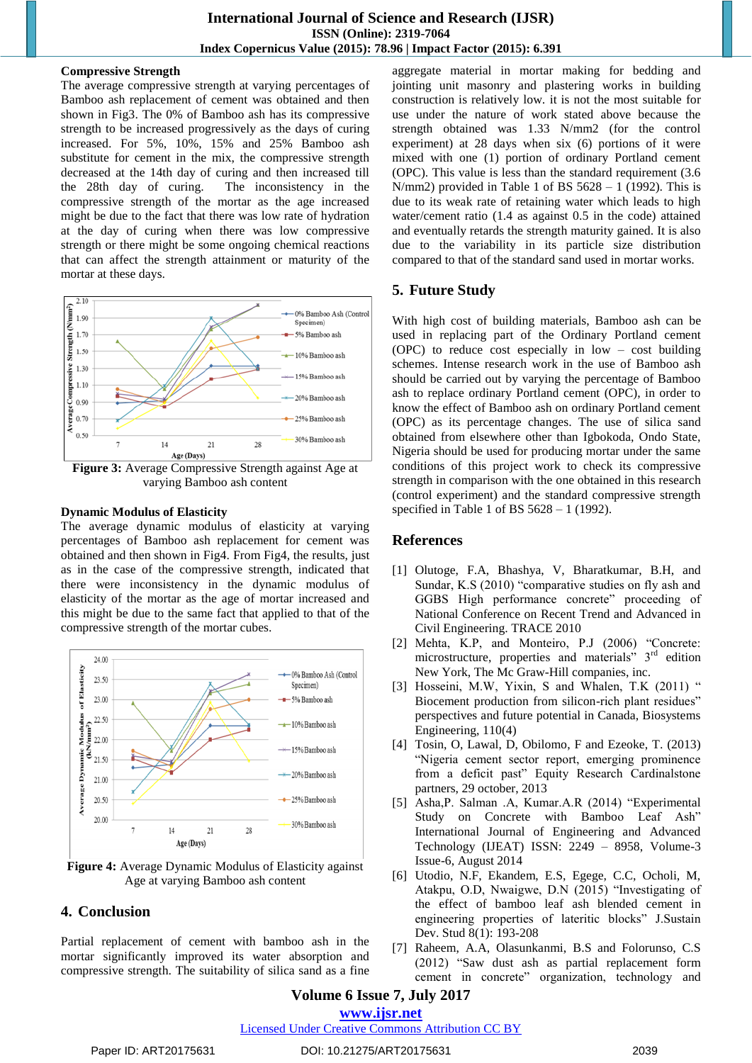#### **Compressive Strength**

The average compressive strength at varying percentages of Bamboo ash replacement of cement was obtained and then shown in Fig3. The 0% of Bamboo ash has its compressive strength to be increased progressively as the days of curing increased. For 5%, 10%, 15% and 25% Bamboo ash substitute for cement in the mix, the compressive strength decreased at the 14th day of curing and then increased till the 28th day of curing. The inconsistency in the compressive strength of the mortar as the age increased might be due to the fact that there was low rate of hydration at the day of curing when there was low compressive strength or there might be some ongoing chemical reactions that can affect the strength attainment or maturity of the mortar at these days.



**Figure 3:** Average Compressive Strength against Age at varying Bamboo ash content

#### **Dynamic Modulus of Elasticity**

The average dynamic modulus of elasticity at varying percentages of Bamboo ash replacement for cement was obtained and then shown in Fig4. From Fig4, the results, just as in the case of the compressive strength, indicated that there were inconsistency in the dynamic modulus of elasticity of the mortar as the age of mortar increased and this might be due to the same fact that applied to that of the compressive strength of the mortar cubes.



**Figure 4:** Average Dynamic Modulus of Elasticity against Age at varying Bamboo ash content

# **4. Conclusion**

Partial replacement of cement with bamboo ash in the mortar significantly improved its water absorption and compressive strength. The suitability of silica sand as a fine aggregate material in mortar making for bedding and jointing unit masonry and plastering works in building construction is relatively low. it is not the most suitable for use under the nature of work stated above because the strength obtained was 1.33 N/mm2 (for the control experiment) at 28 days when six (6) portions of it were mixed with one (1) portion of ordinary Portland cement (OPC). This value is less than the standard requirement (3.6 N/mm2) provided in Table 1 of BS  $5628 - 1$  (1992). This is due to its weak rate of retaining water which leads to high water/cement ratio (1.4 as against 0.5 in the code) attained and eventually retards the strength maturity gained. It is also due to the variability in its particle size distribution compared to that of the standard sand used in mortar works.

# **5. Future Study**

With high cost of building materials, Bamboo ash can be used in replacing part of the Ordinary Portland cement (OPC) to reduce cost especially in low – cost building schemes. Intense research work in the use of Bamboo ash should be carried out by varying the percentage of Bamboo ash to replace ordinary Portland cement (OPC), in order to know the effect of Bamboo ash on ordinary Portland cement (OPC) as its percentage changes. The use of silica sand obtained from elsewhere other than Igbokoda, Ondo State, Nigeria should be used for producing mortar under the same conditions of this project work to check its compressive strength in comparison with the one obtained in this research (control experiment) and the standard compressive strength specified in Table 1 of BS  $5628 - 1$  (1992).

# **References**

- [1] Olutoge, F.A, Bhashya, V, Bharatkumar, B.H, and Sundar, K.S (2010) "comparative studies on fly ash and GGBS High performance concrete" proceeding of National Conference on Recent Trend and Advanced in Civil Engineering. TRACE 2010
- [2] Mehta, K.P, and Monteiro, P.J (2006) "Concrete: microstructure, properties and materials" 3<sup>rd</sup> edition New York, The Mc Graw-Hill companies, inc.
- [3] Hosseini, M.W, Yixin, S and Whalen, T.K (2011) " Biocement production from silicon-rich plant residues" perspectives and future potential in Canada, Biosystems Engineering, 110(4)
- [4] Tosin, O, Lawal, D, Obilomo, F and Ezeoke, T. (2013) "Nigeria cement sector report, emerging prominence from a deficit past" Equity Research Cardinalstone partners, 29 october, 2013
- [5] Asha,P. Salman .A, Kumar.A.R (2014) "Experimental Study on Concrete with Bamboo Leaf Ash" International Journal of Engineering and Advanced Technology (IJEAT) ISSN: 2249 – 8958, Volume-3 Issue-6, August 2014
- [6] Utodio, N.F, Ekandem, E.S, Egege, C.C, Ocholi, M, Atakpu, O.D, Nwaigwe, D.N (2015) "Investigating of the effect of bamboo leaf ash blended cement in engineering properties of lateritic blocks" J.Sustain Dev. Stud 8(1): 193-208
- [7] Raheem, A.A, Olasunkanmi, B.S and Folorunso, C.S (2012) "Saw dust ash as partial replacement form cement in concrete" organization, technology and

## **Volume 6 Issue 7, July 2017 www.ijsr.net**

#### Licensed Under Creative Commons Attribution CC BY